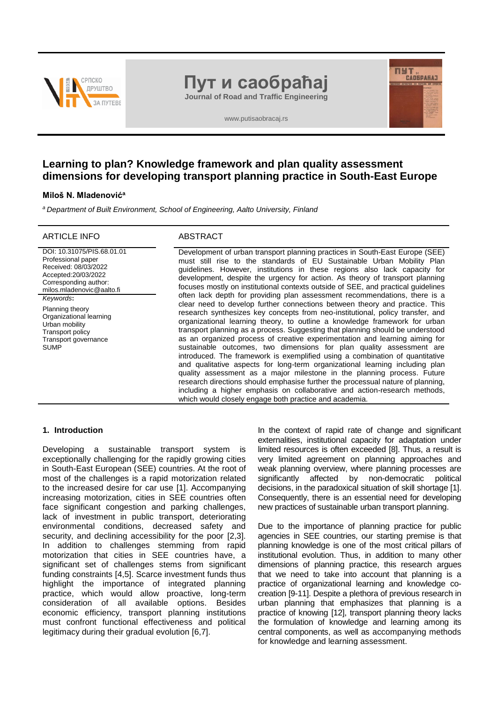

# **Пут и саобраћај**

**Journal of Road and Traffic Engineering**

www.putisaobracaj.rs

# **Learning to plan? Knowledge framework and plan quality assessment dimensions for developing transport planning practice in South-East Europe**

# **Miloš N. Mladenović<sup>a</sup>**

*<sup>a</sup>Department of Built Environment, School of Engineering, Aalto University, Finland*

# ARTICLE INFO ABSTRACT

DOI: 10.31075/PIS.68.01.01 Professional paper Received: 08/03/2022 Accepted:20/03/2022 Corresponding author: milos.mladenovic@aalto.fi *Keywords***:**

Planning theory Organizational learning Urban mobility Transport policy Transport governance **SUMP** 

Development of urban transport planning practices in South-East Europe (SEE) must still rise to the standards of EU Sustainable Urban Mobility Plan guidelines. However, institutions in these regions also lack capacity for development, despite the urgency for action. As theory of transport planning focuses mostly on institutional contexts outside of SEE, and practical guidelines often lack depth for providing plan assessment recommendations, there is a clear need to develop further connections between theory and practice. This research synthesizes key concepts from neo-institutional, policy transfer, and organizational learning theory, to outline a knowledge framework for urban transport planning as a process. Suggesting that planning should be understood as an organized process of creative experimentation and learning aiming for sustainable outcomes, two dimensions for plan quality assessment are introduced. The framework is exemplified using a combination of quantitative and qualitative aspects for long-term organizational learning including plan quality assessment as a major milestone in the planning process. Future research directions should emphasise further the processual nature of planning, including a higher emphasis on collaborative and action-research methods, which would closely engage both practice and academia.

### **1. Introduction**

Developing a sustainable transport system is exceptionally challenging for the rapidly growing cities in South-East European (SEE) countries. At the root of most of the challenges is a rapid motorization related to the increased desire for car use [1]. Accompanying increasing motorization, cities in SEE countries often face significant congestion and parking challenges, lack of investment in public transport, deteriorating environmental conditions, decreased safety and security, and declining accessibility for the poor [2,3]. In addition to challenges stemming from rapid motorization that cities in SEE countries have, a significant set of challenges stems from significant funding constraints [4,5]. Scarce investment funds thus highlight the importance of integrated planning practice, which would allow proactive, long-term consideration of all available options. Besides economic efficiency, transport planning institutions must confront functional effectiveness and political legitimacy during their gradual evolution [6,7].

In the context of rapid rate of change and significant externalities, institutional capacity for adaptation under limited resources is often exceeded [8]. Thus, a result is very limited agreement on planning approaches and weak planning overview, where planning processes are significantly affected by non-democratic political decisions, in the paradoxical situation of skill shortage [1]. Consequently, there is an essential need for developing new practices of sustainable urban transport planning.

**THE CAOSPARAT** 

Due to the importance of planning practice for public agencies in SEE countries, our starting premise is that planning knowledge is one of the most critical pillars of institutional evolution. Thus, in addition to many other dimensions of planning practice, this research argues that we need to take into account that planning is a practice of organizational learning and knowledge cocreation [9-11]. Despite a plethora of previous research in urban planning that emphasizes that planning is a practice of knowing [12], transport planning theory lacks the formulation of knowledge and learning among its central components, as well as accompanying methods for knowledge and learning assessment.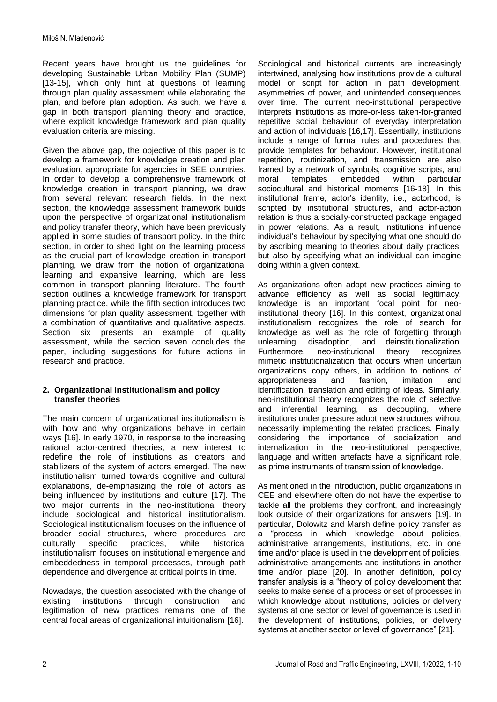Recent years have brought us the guidelines for developing Sustainable Urban Mobility Plan (SUMP) [13-15], which only hint at questions of learning through plan quality assessment while elaborating the plan, and before plan adoption. As such, we have a gap in both transport planning theory and practice, where explicit knowledge framework and plan quality evaluation criteria are missing.

Given the above gap, the objective of this paper is to develop a framework for knowledge creation and plan evaluation, appropriate for agencies in SEE countries. In order to develop a comprehensive framework of knowledge creation in transport planning, we draw from several relevant research fields. In the next section, the knowledge assessment framework builds upon the perspective of organizational institutionalism and policy transfer theory, which have been previously applied in some studies of transport policy. In the third section, in order to shed light on the learning process as the crucial part of knowledge creation in transport planning, we draw from the notion of organizational learning and expansive learning, which are less common in transport planning literature. The fourth section outlines a knowledge framework for transport planning practice, while the fifth section introduces two dimensions for plan quality assessment, together with a combination of quantitative and qualitative aspects. Section six presents an example of quality assessment, while the section seven concludes the paper, including suggestions for future actions in research and practice.

# **2. Organizational institutionalism and policy transfer theories**

The main concern of organizational institutionalism is with how and why organizations behave in certain ways [16]. In early 1970, in response to the increasing rational actor-centred theories, a new interest to redefine the role of institutions as creators and stabilizers of the system of actors emerged. The new institutionalism turned towards cognitive and cultural explanations, de-emphasizing the role of actors as being influenced by institutions and culture [17]. The two major currents in the neo-institutional theory include sociological and historical institutionalism. Sociological institutionalism focuses on the influence of broader social structures, where procedures are culturally specific practices, while historical institutionalism focuses on institutional emergence and embeddedness in temporal processes, through path dependence and divergence at critical points in time.

Nowadays, the question associated with the change of existing institutions through construction and legitimation of new practices remains one of the central focal areas of organizational intuitionalism [16].

Sociological and historical currents are increasingly intertwined, analysing how institutions provide a cultural model or script for action in path development, asymmetries of power, and unintended consequences over time. The current neo-institutional perspective interprets institutions as more-or-less taken-for-granted repetitive social behaviour of everyday interpretation and action of individuals [16,17]. Essentially, institutions include a range of formal rules and procedures that provide templates for behaviour. However, institutional repetition, routinization, and transmission are also framed by a network of symbols, cognitive scripts, and<br>moral templates embedded within particular embedded sociocultural and historical moments [16-18]. In this institutional frame, actor's identity, i.e., actorhood, is scripted by institutional structures, and actor-action relation is thus a socially-constructed package engaged in power relations. As a result, institutions influence individual's behaviour by specifying what one should do by ascribing meaning to theories about daily practices, but also by specifying what an individual can imagine doing within a given context.

As organizations often adopt new practices aiming to advance efficiency as well as social legitimacy, knowledge is an important focal point for neoinstitutional theory [16]. In this context, organizational institutionalism recognizes the role of search for knowledge as well as the role of forgetting through unlearning, disadoption, and deinstitutionalization. Furthermore, neo-institutional theory recognizes mimetic institutionalization that occurs when uncertain organizations copy others, in addition to notions of appropriateness and fashion, imitation and identification, translation and editing of ideas. Similarly, neo-institutional theory recognizes the role of selective and inferential learning, as decoupling, where institutions under pressure adopt new structures without necessarily implementing the related practices. Finally, considering the importance of socialization and internalization in the neo-institutional perspective, language and written artefacts have a significant role, as prime instruments of transmission of knowledge.

As mentioned in the introduction, public organizations in CEE and elsewhere often do not have the expertise to tackle all the problems they confront, and increasingly look outside of their organizations for answers [19]. In particular, Dolowitz and Marsh define policy transfer as a "process in which knowledge about policies, administrative arrangements, institutions, etc. in one time and/or place is used in the development of policies, administrative arrangements and institutions in another time and/or place [20]. In another definition, policy transfer analysis is a "theory of policy development that seeks to make sense of a process or set of processes in which knowledge about institutions, policies or delivery systems at one sector or level of governance is used in the development of institutions, policies, or delivery systems at another sector or level of governance" [21].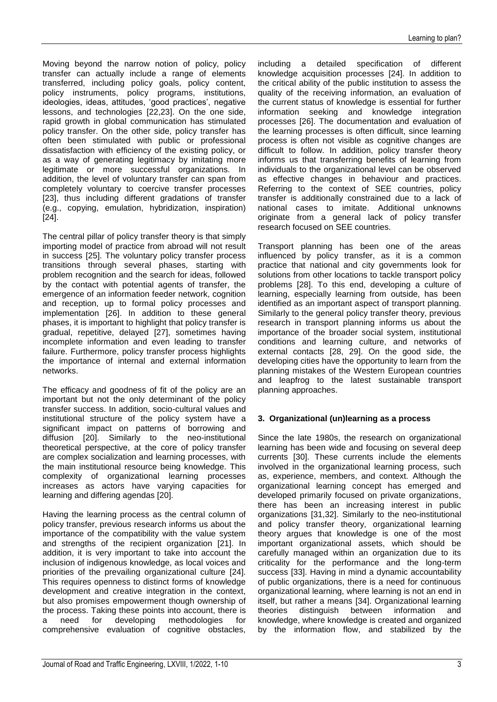Moving beyond the narrow notion of policy, policy transfer can actually include a range of elements transferred, including policy goals, policy content, policy instruments, policy programs, institutions, ideologies, ideas, attitudes, 'good practices', negative lessons, and technologies [22,23]. On the one side, rapid growth in global communication has stimulated policy transfer. On the other side, policy transfer has often been stimulated with public or professional dissatisfaction with efficiency of the existing policy, or as a way of generating legitimacy by imitating more legitimate or more successful organizations. In addition, the level of voluntary transfer can span from completely voluntary to coercive transfer processes [23], thus including different gradations of transfer (e.g., copying, emulation, hybridization, inspiration) [24].

The central pillar of policy transfer theory is that simply importing model of practice from abroad will not result in success [25]. The voluntary policy transfer process transitions through several phases, starting with problem recognition and the search for ideas, followed by the contact with potential agents of transfer, the emergence of an information feeder network, cognition and reception, up to formal policy processes and implementation [26]. In addition to these general phases, it is important to highlight that policy transfer is gradual, repetitive, delayed [27], sometimes having incomplete information and even leading to transfer failure. Furthermore, policy transfer process highlights the importance of internal and external information networks.

The efficacy and goodness of fit of the policy are an important but not the only determinant of the policy transfer success. In addition, socio-cultural values and institutional structure of the policy system have a significant impact on patterns of borrowing and diffusion [20]. Similarly to the neo-institutional theoretical perspective, at the core of policy transfer are complex socialization and learning processes, with the main institutional resource being knowledge. This complexity of organizational learning processes increases as actors have varying capacities for learning and differing agendas [20].

Having the learning process as the central column of policy transfer, previous research informs us about the importance of the compatibility with the value system and strengths of the recipient organization [21]. In addition, it is very important to take into account the inclusion of indigenous knowledge, as local voices and priorities of the prevailing organizational culture [24]. This requires openness to distinct forms of knowledge development and creative integration in the context, but also promises empowerment though ownership of the process. Taking these points into account, there is a need for developing methodologies for comprehensive evaluation of cognitive obstacles, including a detailed specification of different knowledge acquisition processes [24]. In addition to the critical ability of the public institution to assess the quality of the receiving information, an evaluation of the current status of knowledge is essential for further information seeking and knowledge integration processes [26]. The documentation and evaluation of the learning processes is often difficult, since learning process is often not visible as cognitive changes are difficult to follow. In addition, policy transfer theory informs us that transferring benefits of learning from individuals to the organizational level can be observed as effective changes in behaviour and practices. Referring to the context of SEE countries, policy transfer is additionally constrained due to a lack of national cases to imitate. Additional unknowns originate from a general lack of policy transfer research focused on SEE countries.

Transport planning has been one of the areas influenced by policy transfer, as it is a common practice that national and city governments look for solutions from other locations to tackle transport policy problems [28]. To this end, developing a culture of learning, especially learning from outside, has been identified as an important aspect of transport planning. Similarly to the general policy transfer theory, previous research in transport planning informs us about the importance of the broader social system, institutional conditions and learning culture, and networks of external contacts [28, 29]. On the good side, the developing cities have the opportunity to learn from the planning mistakes of the Western European countries and leapfrog to the latest sustainable transport planning approaches.

# **3. Organizational (un)learning as a process**

Since the late 1980s, the research on organizational learning has been wide and focusing on several deep currents [30]. These currents include the elements involved in the organizational learning process, such as, experience, members, and context. Although the organizational learning concept has emerged and developed primarily focused on private organizations, there has been an increasing interest in public organizations [31,32]. Similarly to the neo-institutional and policy transfer theory, organizational learning theory argues that knowledge is one of the most important organizational assets, which should be carefully managed within an organization due to its criticality for the performance and the long-term success [33]. Having in mind a dynamic accountability of public organizations, there is a need for continuous organizational learning, where learning is not an end in itself, but rather a means [34]. Organizational learning theories distinguish between information and knowledge, where knowledge is created and organized by the information flow, and stabilized by the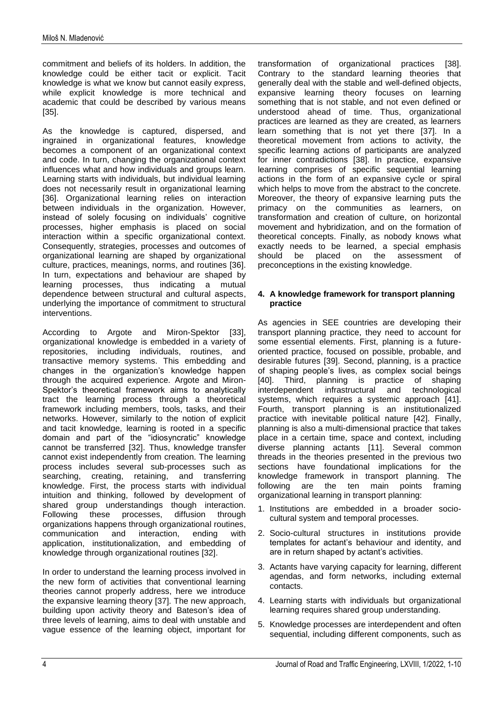commitment and beliefs of its holders. In addition, the knowledge could be either tacit or explicit. Tacit knowledge is what we know but cannot easily express, while explicit knowledge is more technical and academic that could be described by various means [35].

As the knowledge is captured, dispersed, and ingrained in organizational features, knowledge becomes a component of an organizational context and code. In turn, changing the organizational context influences what and how individuals and groups learn. Learning starts with individuals, but individual learning does not necessarily result in organizational learning [36]. Organizational learning relies on interaction between individuals in the organization. However, instead of solely focusing on individuals' cognitive processes, higher emphasis is placed on social interaction within a specific organizational context. Consequently, strategies, processes and outcomes of organizational learning are shaped by organizational culture, practices, meanings, norms, and routines [36]. In turn, expectations and behaviour are shaped by learning processes, thus indicating a mutual dependence between structural and cultural aspects, underlying the importance of commitment to structural interventions.

According to Argote and Miron-Spektor [33], organizational knowledge is embedded in a variety of repositories, including individuals, routines, and transactive memory systems. This embedding and changes in the organization's knowledge happen through the acquired experience. Argote and Miron-Spektor's theoretical framework aims to analytically tract the learning process through a theoretical framework including members, tools, tasks, and their networks. However, similarly to the notion of explicit and tacit knowledge, learning is rooted in a specific domain and part of the "idiosyncratic" knowledge cannot be transferred [32]. Thus, knowledge transfer cannot exist independently from creation. The learning process includes several sub-processes such as searching, creating, retaining, and transferring knowledge. First, the process starts with individual intuition and thinking, followed by development of shared group understandings though interaction. Following these processes, diffusion through organizations happens through organizational routines, communication and interaction, ending with application, institutionalization, and embedding of knowledge through organizational routines [32].

In order to understand the learning process involved in the new form of activities that conventional learning theories cannot properly address, here we introduce the expansive learning theory [37]. The new approach, building upon activity theory and Bateson's idea of three levels of learning, aims to deal with unstable and vague essence of the learning object, important for transformation of organizational practices [38]. Contrary to the standard learning theories that generally deal with the stable and well-defined objects, expansive learning theory focuses on learning something that is not stable, and not even defined or understood ahead of time. Thus, organizational practices are learned as they are created, as learners learn something that is not yet there [37]. In a theoretical movement from actions to activity, the specific learning actions of participants are analyzed for inner contradictions [38]. In practice, expansive learning comprises of specific sequential learning actions in the form of an expansive cycle or spiral which helps to move from the abstract to the concrete. Moreover, the theory of expansive learning puts the primacy on the communities as learners, on transformation and creation of culture, on horizontal movement and hybridization, and on the formation of theoretical concepts. Finally, as nobody knows what exactly needs to be learned, a special emphasis should be placed on the assessment of preconceptions in the existing knowledge.

# **4. A knowledge framework for transport planning practice**

As agencies in SEE countries are developing their transport planning practice, they need to account for some essential elements. First, planning is a futureoriented practice, focused on possible, probable, and desirable futures [39]. Second, planning, is a practice of shaping people's lives, as complex social beings [40]. Third, planning is practice of shaping interdependent infrastructural and technological systems, which requires a systemic approach [41]. Fourth, transport planning is an institutionalized practice with inevitable political nature [42]. Finally, planning is also a multi-dimensional practice that takes place in a certain time, space and context, including diverse planning actants [11]. Several common threads in the theories presented in the previous two sections have foundational implications for the knowledge framework in transport planning. The following are the ten main points framing organizational learning in transport planning:

- 1. Institutions are embedded in a broader sociocultural system and temporal processes.
- 2. Socio-cultural structures in institutions provide templates for actant's behaviour and identity, and are in return shaped by actant's activities.
- 3. Actants have varying capacity for learning, different agendas, and form networks, including external contacts.
- 4. Learning starts with individuals but organizational learning requires shared group understanding.
- 5. Knowledge processes are interdependent and often sequential, including different components, such as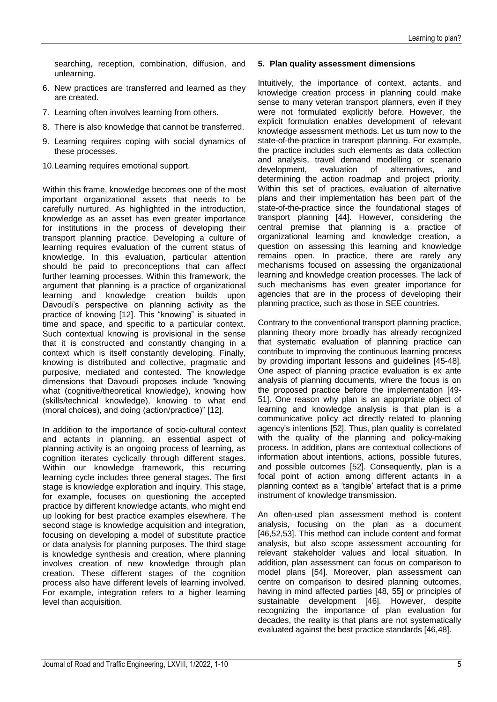searching, reception, combination, diffusion, and unlearning.

- 6. New practices are transferred and learned as they are created.
- 7. Learning often involves learning from others.
- 8. There is also knowledge that cannot be transferred.
- 9. Learning requires coping with social dynamics of these processes.
- 10.Learning requires emotional support.

Within this frame, knowledge becomes one of the most important organizational assets that needs to be carefully nurtured. As highlighted in the introduction, knowledge as an asset has even greater importance for institutions in the process of developing their transport planning practice. Developing a culture of learning requires evaluation of the current status of knowledge. In this evaluation, particular attention should be paid to preconceptions that can affect further learning processes. Within this framework, the argument that planning is a practice of organizational learning and knowledge creation builds upon Davoudi's perspective on planning activity as the practice of knowing [12]. This "knowing" is situated in time and space, and specific to a particular context. Such contextual knowing is provisional in the sense that it is constructed and constantly changing in a context which is itself constantly developing. Finally, knowing is distributed and collective, pragmatic and purposive, mediated and contested. The knowledge dimensions that Davoudi proposes include "knowing what (cognitive/theoretical knowledge), knowing how (skills/technical knowledge), knowing to what end (moral choices), and doing (action/practice)" [12].

In addition to the importance of socio-cultural context and actants in planning, an essential aspect of planning activity is an ongoing process of learning, as cognition iterates cyclically through different stages. Within our knowledge framework, this recurring learning cycle includes three general stages. The first stage is knowledge exploration and inquiry. This stage, for example, focuses on questioning the accepted practice by different knowledge actants, who might end up looking for best practice examples elsewhere. The second stage is knowledge acquisition and integration, focusing on developing a model of substitute practice or data analysis for planning purposes. The third stage is knowledge synthesis and creation, where planning involves creation of new knowledge through plan creation. These different stages of the cognition process also have different levels of learning involved. For example, integration refers to a higher learning level than acquisition.

# **5. Plan quality assessment dimensions**

Intuitively, the importance of context, actants, and knowledge creation process in planning could make sense to many veteran transport planners, even if they were not formulated explicitly before. However, the explicit formulation enables development of relevant knowledge assessment methods. Let us turn now to the state-of-the-practice in transport planning. For example, the practice includes such elements as data collection and analysis, travel demand modelling or scenario development, evaluation of alternatives, and development, evaluation of alternatives, and determining the action roadmap and project priority. Within this set of practices, evaluation of alternative plans and their implementation has been part of the state-of-the-practice since the foundational stages of transport planning [44]. However, considering the central premise that planning is a practice of organizational learning and knowledge creation, a question on assessing this learning and knowledge remains open. In practice, there are rarely any mechanisms focused on assessing the organizational learning and knowledge creation processes. The lack of such mechanisms has even greater importance for agencies that are in the process of developing their planning practice, such as those in SEE countries.

Contrary to the conventional transport planning practice, planning theory more broadly has already recognized that systematic evaluation of planning practice can contribute to improving the continuous learning process by providing important lessons and guidelines [45-48]. One aspect of planning practice evaluation is ex ante analysis of planning documents, where the focus is on the proposed practice before the implementation [49- 51]. One reason why plan is an appropriate object of learning and knowledge analysis is that plan is a communicative policy act directly related to planning agency's intentions [52]. Thus, plan quality is correlated with the quality of the planning and policy-making process. In addition, plans are contextual collections of information about intentions, actions, possible futures, and possible outcomes [52]. Consequently, plan is a focal point of action among different actants in a planning context as a 'tangible' artefact that is a prime instrument of knowledge transmission.

An often-used plan assessment method is content analysis, focusing on the plan as a document [46,52,53]. This method can include content and format analysis, but also scope assessment accounting for relevant stakeholder values and local situation. In addition, plan assessment can focus on comparison to model plans [54]. Moreover, plan assessment can centre on comparison to desired planning outcomes, having in mind affected parties [48, 55] or principles of sustainable development [46]. However, despite recognizing the importance of plan evaluation for decades, the reality is that plans are not systematically evaluated against the best practice standards [46,48].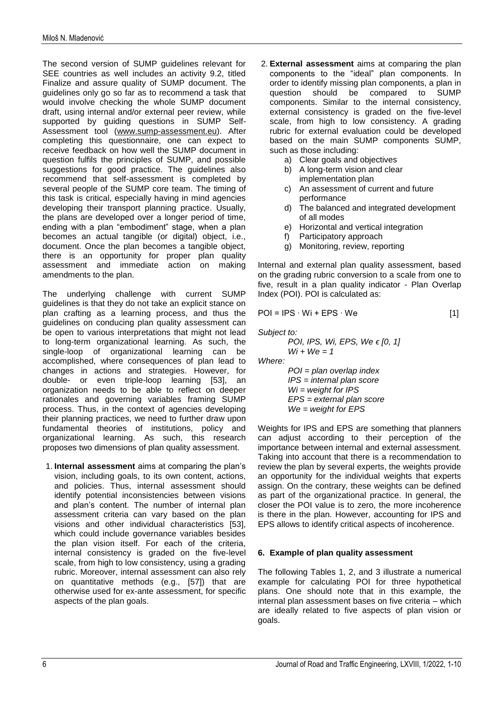The second version of SUMP guidelines relevant for SEE countries as well includes an activity 9.2, titled Finalize and assure quality of SUMP document. The guidelines only go so far as to recommend a task that would involve checking the whole SUMP document draft, using internal and/or external peer review, while supported by guiding questions in SUMP Self-Assessment tool [\(www.sump-assessment.eu\)](http://www.sump-assessment.eu/). After completing this questionnaire, one can expect to receive feedback on how well the SUMP document in question fulfils the principles of SUMP, and possible suggestions for good practice. The guidelines also recommend that self-assessment is completed by several people of the SUMP core team. The timing of this task is critical, especially having in mind agencies developing their transport planning practice. Usually, the plans are developed over a longer period of time, ending with a plan "embodiment" stage, when a plan becomes an actual tangible (or digital) object, i.e., document. Once the plan becomes a tangible object, there is an opportunity for proper plan quality assessment and immediate action on making amendments to the plan.

The underlying challenge with current SUMP guidelines is that they do not take an explicit stance on plan crafting as a learning process, and thus the guidelines on conducing plan quality assessment can be open to various interpretations that might not lead to long-term organizational learning. As such, the single-loop of organizational learning can be accomplished, where consequences of plan lead to changes in actions and strategies. However, for double- or even triple-loop learning [53], an organization needs to be able to reflect on deeper rationales and governing variables framing SUMP process. Thus, in the context of agencies developing their planning practices, we need to further draw upon fundamental theories of institutions, policy and organizational learning. As such, this research proposes two dimensions of plan quality assessment.

1. **Internal assessment** aims at comparing the plan's vision, including goals, to its own content, actions, and policies. Thus, internal assessment should identify potential inconsistencies between visions and plan's content. The number of internal plan assessment criteria can vary based on the plan visions and other individual characteristics [53], which could include governance variables besides the plan vision itself. For each of the criteria, internal consistency is graded on the five-level scale, from high to low consistency, using a grading rubric. Moreover, internal assessment can also rely on quantitative methods (e.g., [57]) that are otherwise used for ex-ante assessment, for specific aspects of the plan goals.

- 2. **External assessment** aims at comparing the plan components to the "ideal" plan components. In order to identify missing plan components, a plan in question should be compared to SUMP components. Similar to the internal consistency, external consistency is graded on the five-level scale, from high to low consistency. A grading rubric for external evaluation could be developed based on the main SUMP components SUMP, such as those including:
	- a) Clear goals and objectives
	- b) A long-term vision and clear
	- implementation plan
	- c) An assessment of current and future performance
	- d) The balanced and integrated development of all modes
	- e) Horizontal and vertical integration
	- f) Participatory approach
	- g) Monitoring, review, reporting

Internal and external plan quality assessment, based on the grading rubric conversion to a scale from one to five, result in a plan quality indicator - Plan Overlap Index (POI). POI is calculated as:

$$
POI = IPS \cdot Wi + EPS \cdot We
$$
 [1]

*Subject to:*

*Where:* 

POI, IPS, Wi, EPS, We ∈ [0, 1]

\nWi + We = 1

\nWhere:

\n
$$
POI = plan \noverlap in dex
$$
\nIPS = internal plan \nscore

\nWi = weight for IPS

\nEPS = external plan \nscore

\nWe = weight for EPS

Weights for IPS and EPS are something that planners can adjust according to their perception of the importance between internal and external assessment. Taking into account that there is a recommendation to review the plan by several experts, the weights provide an opportunity for the individual weights that experts assign. On the contrary, these weights can be defined as part of the organizational practice. In general, the closer the POI value is to zero, the more incoherence is there in the plan. However, accounting for IPS and EPS allows to identify critical aspects of incoherence.

# **6. Example of plan quality assessment**

The following Tables 1, 2, and 3 illustrate a numerical example for calculating POI for three hypothetical plans. One should note that in this example, the internal plan assessment bases on five criteria – which are ideally related to five aspects of plan vision or goals.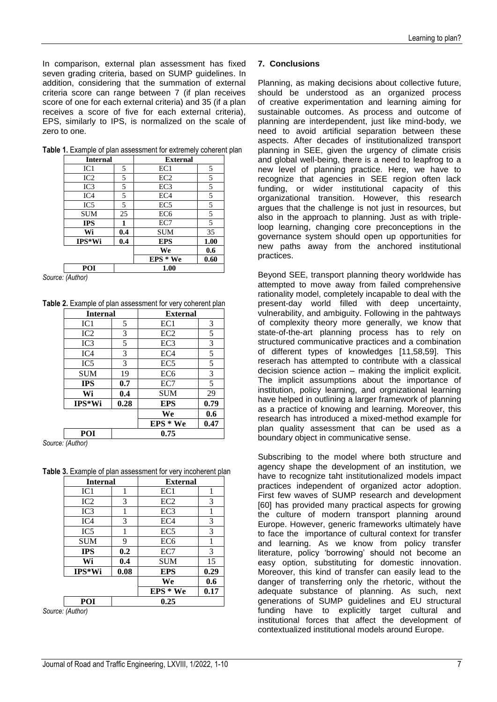In comparison, external plan assessment has fixed seven grading criteria, based on SUMP guidelines. In addition, considering that the summation of external criteria score can range between 7 (if plan receives score of one for each external criteria) and 35 (if a plan receives a score of five for each external criteria), EPS, similarly to IPS, is normalized on the scale of zero to one.

| <b>Internal</b> |     | <b>External</b> |      |
|-----------------|-----|-----------------|------|
| IC1             | 5   | EC <sub>1</sub> | 5    |
| IC <sub>2</sub> | 5   | EC <sub>2</sub> | 5    |
| IC3             | 5   | EC <sub>3</sub> | 5    |
| IC4             | 5   | EC <sub>4</sub> | 5    |
| IC <sub>5</sub> | 5   | EC <sub>5</sub> | 5    |
| <b>SUM</b>      | 25  | EC <sub>6</sub> | 5    |
| <b>IPS</b>      |     | EC7             | 5    |
| Wi              | 0.4 | <b>SUM</b>      | 35   |
| $IPS*Wi$        | 0.4 | <b>EPS</b>      | 1.00 |
|                 |     | We              | 0.6  |
|                 |     | $EPS * We$      | 0.60 |
| POI             |     | 1.00            |      |

**Table 1.** Example of plan assessment for extremely coherent plan

*Source: (Author)*

**Table 2.** Example of plan assessment for very coherent plan

| <b>Internal</b> |      | <b>External</b> |      |
|-----------------|------|-----------------|------|
| IC1             | 5    | EC1             | 3    |
| IC2             | 3    | EC <sub>2</sub> | 5    |
| IC <sub>3</sub> | 5    | EC <sub>3</sub> | 3    |
| IC <sub>4</sub> | 3    | EC <sub>4</sub> | 5    |
| IC <sub>5</sub> | 3    | EC <sub>5</sub> | 5    |
| <b>SUM</b>      | 19   | EC <sub>6</sub> | 3    |
| <b>IPS</b>      | 0.7  | EC7             | 5    |
| Wi              | 0.4  | <b>SUM</b>      | 29   |
| $IPS*Wi$        | 0.28 | <b>EPS</b>      | 0.79 |
|                 |      | We              | 0.6  |
|                 |      | $EPS * We$      | 0.47 |
| POI             |      | 0.75            |      |

*Source: (Author)*

**Table 3.** Example of plan assessment for very incoherent plan

| POI             |      | 0.25            |      |  |
|-----------------|------|-----------------|------|--|
|                 |      | $EPS * We$      | 0.17 |  |
|                 |      | We              | 0.6  |  |
| IPS*Wi          | 0.08 | <b>EPS</b>      | 0.29 |  |
| Wi              | 0.4  | <b>SUM</b>      | 15   |  |
| <b>IPS</b>      | 0.2  | EC7             | 3    |  |
| <b>SUM</b>      | 9    | EC <sub>6</sub> | 1    |  |
| IC <sub>5</sub> | 1    | EC <sub>5</sub> | 3    |  |
| IC4             | 3    | EC <sub>4</sub> | 3    |  |
| IC3             | 1    | EC <sub>3</sub> | 1    |  |
| IC2             | 3    | EC <sub>2</sub> | 3    |  |
| IC1             |      | EC1             | 1    |  |
| <b>Internal</b> |      | <b>External</b> |      |  |

*Source: (Author)*

#### **7. Conclusions**

Planning, as making decisions about collective future, should be understood as an organized process of creative experimentation and learning aiming for sustainable outcomes. As process and outcome of planning are interdependent, just like mind-body, we need to avoid artificial separation between these aspects. After decades of institutionalized transport planning in SEE, given the urgency of climate crisis and global well-being, there is a need to leapfrog to a new level of planning practice. Here, we have to recognize that agencies in SEE region often lack funding, or wider institutional capacity of this organizational transition. However, this research argues that the challenge is not just in resources, but also in the approach to planning. Just as with tripleloop learning, changing core preconceptions in the governance system should open up opportunities for new paths away from the anchored institutional practices.

Beyond SEE, transport planning theory worldwide has attempted to move away from failed comprehensive rationality model, completely incapable to deal with the present-day world filled with deep uncertainty, vulnerability, and ambiguity. Following in the pahtways of complexity theory more generally, we know that state-of-the-art planning process has to rely on structured communicative practices and a combination of different types of knowledges [11,58,59]. This reserach has attempted to contribute with a classical decision science action – making the implicit explicit. The implicit assumptions about the importance of institution, policy learning, and orgnizational learning have helped in outlining a larger framework of planning as a practice of knowing and learning. Moreover, this research has introduced a mixed-method example for plan quality assessment that can be used as a boundary object in communicative sense.

Subscribing to the model where both structure and agency shape the development of an institution, we have to recognize taht institutionalized models impact practices independent of organized actor adoption. First few waves of SUMP research and development [60] has provided many practical aspects for growing the culture of modern transport planning around Europe. However, generic frameworks ultimately have to face the importance of cultural context for transfer and learning. As we know from policy transfer literature, policy 'borrowing' should not become an easy option, substituting for domestic innovation. Moreover, this kind of transfer can easily lead to the danger of transferring only the rhetoric, without the adequate substance of planning. As such, next generations of SUMP guidelines and EU structural funding have to explicitly target cultural and institutional forces that affect the development of contextualized institutional models around Europe.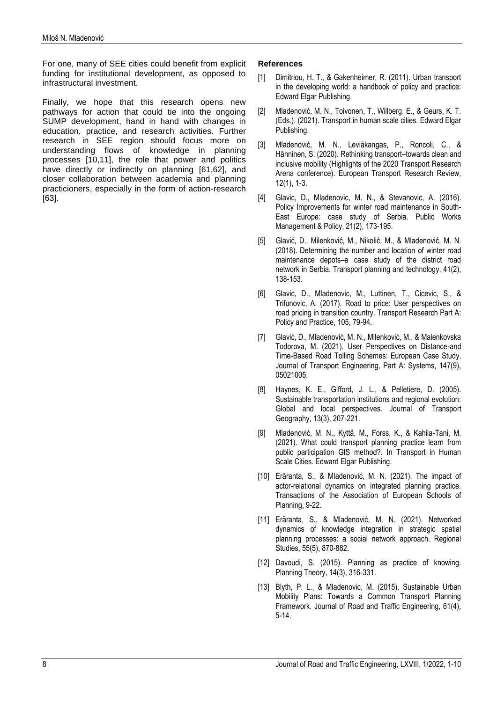For one, many of SEE cities could benefit from explicit funding for institutional development, as opposed to infrastructural investment.

Finally, we hope that this research opens new pathways for action that could tie into the ongoing SUMP development, hand in hand with changes in education, practice, and research activities. Further research in SEE region should focus more on understanding flows of knowledge in planning processes [10,11], the role that power and politics have directly or indirectly on planning [61,62], and closer collaboration between academia and planning practicioners, especially in the form of action-research [63].

## **References**

- Dimitriou, H. T., & Gakenheimer, R. (2011). Urban transport in the developing world: a handbook of policy and practice: Edward Elgar Publishing.
- [2] Mladenović, M. N., Toivonen, T., Willberg, E., & Geurs, K. T. (Eds.). (2021). Transport in human scale cities. Edward Elgar Publishing.
- [3] Mladenović, M. N., Leviäkangas, P., Roncoli, C., & Hänninen, S. (2020). Rethinking transport–towards clean and inclusive mobility (Highlights of the 2020 Transport Research Arena conference). European Transport Research Review, 12(1), 1-3.
- [4] Glavic, D., Mladenovic, M. N., & Stevanovic, A. (2016). Policy Improvements for winter road maintenance in South-East Europe: case study of Serbia. Public Works Management & Policy, 21(2), 173-195.
- [5] Glavić, D., Milenković, M., Nikolić, M., & Mladenović, M. N. (2018). Determining the number and location of winter road maintenance depots–a case study of the district road network in Serbia. Transport planning and technology, 41(2), 138-153.
- [6] Glavic, D., Mladenovic, M., Luttinen, T., Cicevic, S., & Trifunovic, A. (2017). Road to price: User perspectives on road pricing in transition country. Transport Research Part A: Policy and Practice, 105, 79-94.
- [7] Glavić, D., Mladenović, M. N., Milenković, M., & Malenkovska Todorova, M. (2021). User Perspectives on Distance-and Time-Based Road Tolling Schemes: European Case Study. Journal of Transport Engineering, Part A: Systems, 147(9), 05021005.
- [8] Haynes, K. E., Gifford, J. L., & Pelletiere, D. (2005). Sustainable transportation institutions and regional evolution: Global and local perspectives. Journal of Transport Geography, 13(3), 207-221.
- [9] Mladenović, M. N., Kyttä, M., Forss, K., & Kahila-Tani, M. (2021). What could transport planning practice learn from public participation GIS method?. In Transport in Human Scale Cities. Edward Elgar Publishing.
- [10] Eräranta, S., & Mladenović, M. N. (2021). The impact of actor-relational dynamics on integrated planning practice. Transactions of the Association of European Schools of Planning, 9-22.
- [11] Eräranta, S., & Mladenović, M. N. (2021). Networked dynamics of knowledge integration in strategic spatial planning processes: a social network approach. Regional Studies, 55(5), 870-882.
- [12] Davoudi, S. (2015). Planning as practice of knowing. Planning Theory, 14(3), 316-331.
- [13] Blyth, P. L., & Mladenovic, M. (2015). Sustainable Urban Mobility Plans: Towards a Common Transport Planning Framework. Journal of Road and Traffic Engineering, 61(4), 5-14.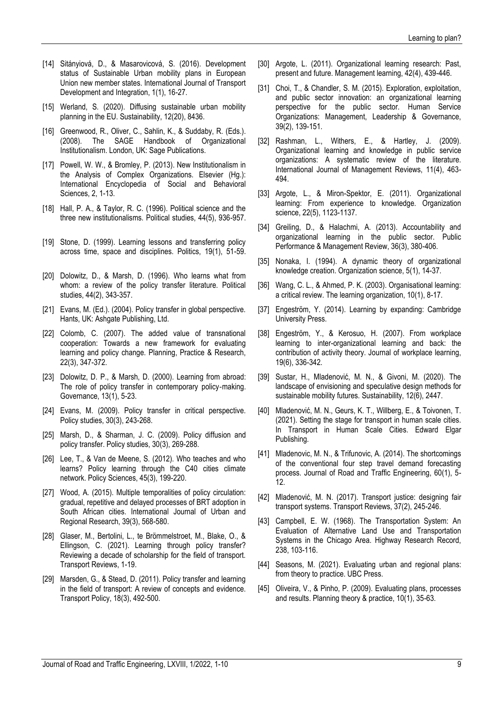- [14] Sitányiová, D., & Masarovicová, S. (2016). Development status of Sustainable Urban mobility plans in European Union new member states. International Journal of Transport Development and Integration, 1(1), 16-27.
- [15] Werland, S. (2020). Diffusing sustainable urban mobility planning in the EU. Sustainability, 12(20), 8436.
- [16] Greenwood, R., Oliver, C., Sahlin, K., & Suddaby, R. (Eds.). (2008). The SAGE Handbook of Organizational Institutionalism. London, UK: Sage Publications.
- [17] Powell, W. W., & Bromley, P. (2013). New Institutionalism in the Analysis of Complex Organizations. Elsevier (Hg.): International Encyclopedia of Social and Behavioral Sciences, 2, 1-13.
- [18] Hall, P. A., & Taylor, R. C. (1996). Political science and the three new institutionalisms. Political studies, 44(5), 936-957.
- [19] Stone, D. (1999). Learning lessons and transferring policy across time, space and disciplines. Politics, 19(1), 51-59.
- [20] Dolowitz, D., & Marsh, D. (1996). Who learns what from whom: a review of the policy transfer literature. Political studies, 44(2), 343-357.
- [21] Evans, M. (Ed.). (2004). Policy transfer in global perspective. Hants, UK: Ashgate Publishing, Ltd.
- [22] Colomb, C. (2007). The added value of transnational cooperation: Towards a new framework for evaluating learning and policy change. Planning, Practice & Research, 22(3), 347-372.
- [23] Dolowitz, D. P., & Marsh, D. (2000). Learning from abroad: The role of policy transfer in contemporary policy-making. Governance, 13(1), 5-23.
- [24] Evans, M. (2009). Policy transfer in critical perspective. Policy studies, 30(3), 243-268.
- [25] Marsh, D., & Sharman, J. C. (2009). Policy diffusion and policy transfer. Policy studies, 30(3), 269-288.
- [26] Lee, T., & Van de Meene, S. (2012). Who teaches and who learns? Policy learning through the C40 cities climate network. Policy Sciences, 45(3), 199-220.
- [27] Wood, A. (2015). Multiple temporalities of policy circulation: gradual, repetitive and delayed processes of BRT adoption in South African cities. International Journal of Urban and Regional Research, 39(3), 568-580.
- [28] Glaser, M., Bertolini, L., te Brömmelstroet, M., Blake, O., & Ellingson, C. (2021). Learning through policy transfer? Reviewing a decade of scholarship for the field of transport. Transport Reviews, 1-19.
- [29] Marsden, G., & Stead, D. (2011). Policy transfer and learning in the field of transport: A review of concepts and evidence. Transport Policy, 18(3), 492-500.
- [30] Argote, L. (2011). Organizational learning research: Past, present and future. Management learning, 42(4), 439-446.
- [31] Choi, T., & Chandler, S. M. (2015). Exploration, exploitation, and public sector innovation: an organizational learning perspective for the public sector. Human Service Organizations: Management, Leadership & Governance, 39(2), 139-151.
- [32] Rashman, L., Withers, E., & Hartley, J. (2009). Organizational learning and knowledge in public service organizations: A systematic review of the literature. International Journal of Management Reviews, 11(4), 463- 494.
- [33] Argote, L., & Miron-Spektor, E. (2011). Organizational learning: From experience to knowledge. Organization science, 22(5), 1123-1137.
- [34] Greiling, D., & Halachmi, A. (2013). Accountability and organizational learning in the public sector. Public Performance & Management Review, 36(3), 380-406.
- [35] Nonaka, I. (1994). A dynamic theory of organizational knowledge creation. Organization science, 5(1), 14-37.
- [36] Wang, C. L., & Ahmed, P. K. (2003). Organisational learning: a critical review. The learning organization, 10(1), 8-17.
- [37] Engeström, Y. (2014). Learning by expanding: Cambridge University Press.
- [38] Engeström, Y., & Kerosuo, H. (2007). From workplace learning to inter-organizational learning and back: the contribution of activity theory. Journal of workplace learning, 19(6), 336-342.
- [39] Sustar, H., Mladenović, M. N., & Givoni, M. (2020). The landscape of envisioning and speculative design methods for sustainable mobility futures. Sustainability, 12(6), 2447.
- [40] Mladenović, M. N., Geurs, K. T., Willberg, E., & Toivonen, T. (2021). Setting the stage for transport in human scale cities. In Transport in Human Scale Cities. Edward Elgar Publishing.
- [41] Mladenovic, M. N., & Trifunovic, A. (2014). The shortcomings of the conventional four step travel demand forecasting process. Journal of Road and Traffic Engineering, 60(1), 5- 12.
- [42] Mladenović, M. N. (2017). Transport justice: designing fair transport systems. Transport Reviews, 37(2), 245-246.
- [43] Campbell, E. W. (1968). The Transportation System: An Evaluation of Alternative Land Use and Transportation Systems in the Chicago Area. Highway Research Record, 238, 103-116.
- [44] Seasons, M. (2021). Evaluating urban and regional plans: from theory to practice. UBC Press.
- [45] Oliveira, V., & Pinho, P. (2009). Evaluating plans, processes and results. Planning theory & practice, 10(1), 35-63.